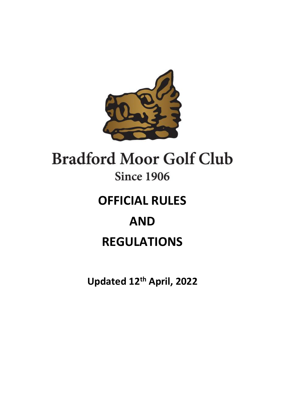

# **Bradford Moor Golf Club Since 1906**

# **OFFICIAL RULES AND**

## **REGULATIONS**

**Updated 12th April, 2022**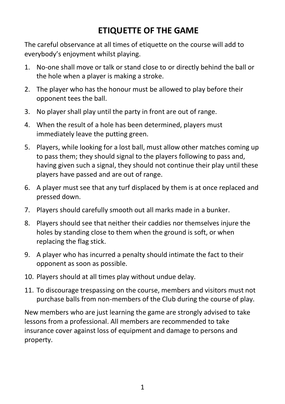### **ETIQUETTE OF THE GAME**

The careful observance at all times of etiquette on the course will add to everybody's enjoyment whilst playing.

- 1. No-one shall move or talk or stand close to or directly behind the ball or the hole when a player is making a stroke.
- 2. The player who has the honour must be allowed to play before their opponent tees the ball.
- 3. No player shall play until the party in front are out of range.
- 4. When the result of a hole has been determined, players must immediately leave the putting green.
- 5. Players, while looking for a lost ball, must allow other matches coming up to pass them; they should signal to the players following to pass and, having given such a signal, they should not continue their play until these players have passed and are out of range.
- 6. A player must see that any turf displaced by them is at once replaced and pressed down.
- 7. Players should carefully smooth out all marks made in a bunker.
- 8. Players should see that neither their caddies nor themselves injure the holes by standing close to them when the ground is soft, or when replacing the flag stick.
- 9. A player who has incurred a penalty should intimate the fact to their opponent as soon as possible.
- 10. Players should at all times play without undue delay.
- 11. To discourage trespassing on the course, members and visitors must not purchase balls from non-members of the Club during the course of play.

New members who are just learning the game are strongly advised to take lessons from a professional. All members are recommended to take insurance cover against loss of equipment and damage to persons and property.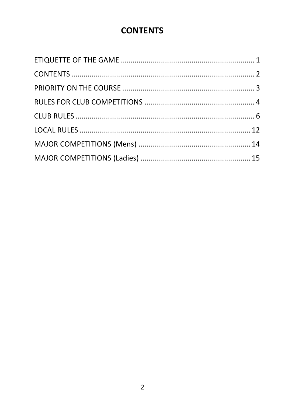### **CONTENTS**

<span id="page-2-0"></span>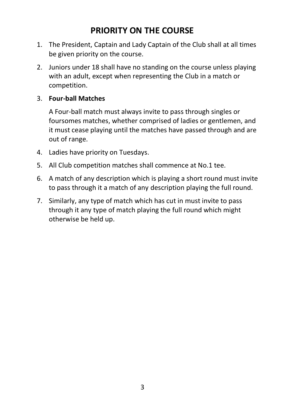### **PRIORITY ON THE COURSE**

- <span id="page-3-0"></span>1. The President, Captain and Lady Captain of the Club shall at all times be given priority on the course.
- 2. Juniors under 18 shall have no standing on the course unless playing with an adult, except when representing the Club in a match or competition.

### 3. **Four-ball Matches**

A Four-ball match must always invite to pass through singles or foursomes matches, whether comprised of ladies or gentlemen, and it must cease playing until the matches have passed through and are out of range.

- 4. Ladies have priority on Tuesdays.
- 5. All Club competition matches shall commence at No.1 tee.
- 6. A match of any description which is playing a short round must invite to pass through it a match of any description playing the full round.
- 7. Similarly, any type of match which has cut in must invite to pass through it any type of match playing the full round which might otherwise be held up.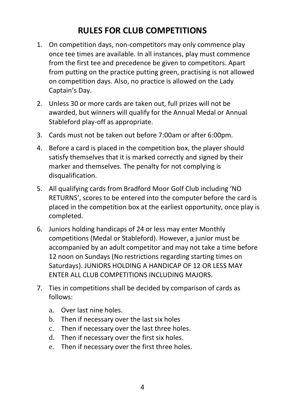### **RULES FOR CLUB COMPETITIONS**

- <span id="page-4-0"></span>1. On competition days, non-competitors may only commence play once tee times are available. In all instances, play must commence from the first tee and precedence be given to competitors. Apart from putting on the practice putting green, practising is not allowed on competition days. Also, no practice is allowed on the Lady Captain's Day.
- 2. Unless 30 or more cards are taken out, full prizes will not be awarded, but winners will qualify for the Annual Medal or Annual Stableford play-off as appropriate.
- 3. Cards must not be taken out before 7:00am or after 6:00pm.
- 4. Before a card is placed in the competition box, the player should satisfy themselves that it is marked correctly and signed by their marker and themselves. The penalty for not complying is disqualification.
- 5. All qualifying cards from Bradford Moor Golf Club including 'NO RETURNS', scores to be entered into the computer before the card is placed in the competition box at the earliest opportunity, once play is completed.
- 6. Juniors holding handicaps of 24 or less may enter Monthly competitions (Medal or Stableford). However, a junior must be accompanied by an adult competitor and may not take a time before 12 noon on Sundays (No restrictions regarding starting times on Saturdays). JUNIORS HOLDING A HANDICAP OF 12 OR LESS MAY ENTER ALL CLUB COMPETITIONS INCLUDING MAJORS.
- 7. Ties in competitions shall be decided by comparison of cards as follows:
	- a. Over last nine holes.
	- b. Then if necessary over the last six holes
	- c. Then if necessary over the last three holes.
	- d. Then if necessary over the first six holes.
	- e. Then if necessary over the first three holes.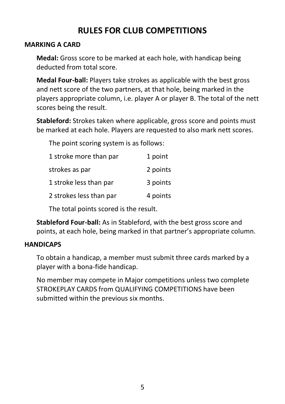### **RULES FOR CLUB COMPETITIONS**

### **MARKING A CARD**

**Medal:** Gross score to be marked at each hole, with handicap being deducted from total score.

**Medal Four-ball:** Players take strokes as applicable with the best gross and nett score of the two partners, at that hole, being marked in the players appropriate column, i.e. player A or player B. The total of the nett scores being the result.

**Stableford:** Strokes taken where applicable, gross score and points must be marked at each hole. Players are requested to also mark nett scores.

The point scoring system is as follows:

| 1 stroke more than par  | 1 point  |
|-------------------------|----------|
| strokes as par          | 2 points |
| 1 stroke less than par  | 3 points |
| 2 strokes less than par | 4 points |
|                         |          |

The total points scored is the result.

**Stableford Four-ball:** As in Stableford, with the best gross score and points, at each hole, being marked in that partner's appropriate column.

### **HANDICAPS**

To obtain a handicap, a member must submit three cards marked by a player with a bona-fide handicap.

No member may compete in Major competitions unless two complete STROKEPLAY CARDS from QUALIFYING COMPETITIONS have been submitted within the previous six months.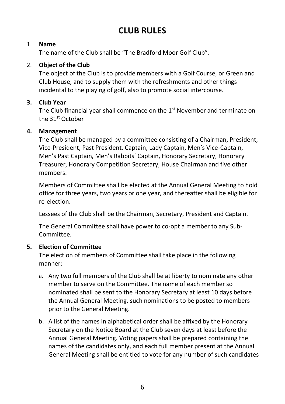### <span id="page-6-0"></span>1. **Name**

The name of the Club shall be "The Bradford Moor Golf Club".

### 2. **Object of the Club**

The object of the Club is to provide members with a Golf Course, or Green and Club House, and to supply them with the refreshments and other things incidental to the playing of golf, also to promote social intercourse.

### **3. Club Year**

The Club financial year shall commence on the 1<sup>st</sup> November and terminate on the 31<sup>st</sup> October

### **4. Management**

The Club shall be managed by a committee consisting of a Chairman, President, Vice-President, Past President, Captain, Lady Captain, Men's Vice-Captain, Men's Past Captain, Men's Rabbits' Captain, Honorary Secretary, Honorary Treasurer, Honorary Competition Secretary, House Chairman and five other members.

Members of Committee shall be elected at the Annual General Meeting to hold office for three years, two years or one year, and thereafter shall be eligible for re-election.

Lessees of the Club shall be the Chairman, Secretary, President and Captain.

The General Committee shall have power to co-opt a member to any Sub-Committee.

### **5. Election of Committee**

The election of members of Committee shall take place in the following manner:

- a. Any two full members of the Club shall be at liberty to nominate any other member to serve on the Committee. The name of each member so nominated shall be sent to the Honorary Secretary at least 10 days before the Annual General Meeting, such nominations to be posted to members prior to the General Meeting.
- b. A list of the names in alphabetical order shall be affixed by the Honorary Secretary on the Notice Board at the Club seven days at least before the Annual General Meeting. Voting papers shall be prepared containing the names of the candidates only, and each full member present at the Annual General Meeting shall be entitled to vote for any number of such candidates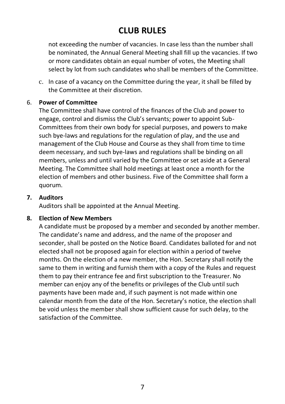not exceeding the number of vacancies. In case less than the number shall be nominated, the Annual General Meeting shall fill up the vacancies. If two or more candidates obtain an equal number of votes, the Meeting shall select by lot from such candidates who shall be members of the Committee.

c. In case of a vacancy on the Committee during the year, it shall be filled by the Committee at their discretion.

### 6. **Power of Committee**

The Committee shall have control of the finances of the Club and power to engage, control and dismiss the Club's servants; power to appoint Sub-Committees from their own body for special purposes, and powers to make such bye-laws and regulations for the regulation of play, and the use and management of the Club House and Course as they shall from time to time deem necessary, and such bye-laws and regulations shall be binding on all members, unless and until varied by the Committee or set aside at a General Meeting. The Committee shall hold meetings at least once a month for the election of members and other business. Five of the Committee shall form a quorum.

### **7. Auditors**

Auditors shall be appointed at the Annual Meeting.

### **8. Election of New Members**

A candidate must be proposed by a member and seconded by another member. The candidate's name and address, and the name of the proposer and seconder, shall be posted on the Notice Board. Candidates balloted for and not elected shall not be proposed again for election within a period of twelve months. On the election of a new member, the Hon. Secretary shall notify the same to them in writing and furnish them with a copy of the Rules and request them to pay their entrance fee and first subscription to the Treasurer. No member can enjoy any of the benefits or privileges of the Club until such payments have been made and, if such payment is not made within one calendar month from the date of the Hon. Secretary's notice, the election shall be void unless the member shall show sufficient cause for such delay, to the satisfaction of the Committee.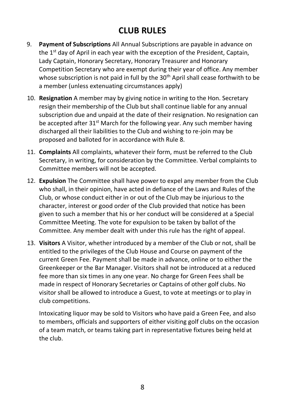- 9. **Payment of Subscriptions** All Annual Subscriptions are payable in advance on the  $1<sup>st</sup>$  day of April in each year with the exception of the President, Captain, Lady Captain, Honorary Secretary, Honorary Treasurer and Honorary Competition Secretary who are exempt during their year of office. Any member whose subscription is not paid in full by the  $30<sup>th</sup>$  April shall cease forthwith to be a member (unless extenuating circumstances apply)
- 10. **Resignation** A member may by giving notice in writing to the Hon. Secretary resign their membership of the Club but shall continue liable for any annual subscription due and unpaid at the date of their resignation. No resignation can be accepted after 31<sup>st</sup> March for the following year. Any such member having discharged all their liabilities to the Club and wishing to re-join may be proposed and balloted for in accordance with Rule 8.
- 11. **Complaints** All complaints, whatever their form, must be referred to the Club Secretary, in writing, for consideration by the Committee. Verbal complaints to Committee members will not be accepted.
- 12. **Expulsion** The Committee shall have power to expel any member from the Club who shall, in their opinion, have acted in defiance of the Laws and Rules of the Club, or whose conduct either in or out of the Club may be injurious to the character, interest or good order of the Club provided that notice has been given to such a member that his or her conduct will be considered at a Special Committee Meeting. The vote for expulsion to be taken by ballot of the Committee. Any member dealt with under this rule has the right of appeal.
- 13. **Visitors** A Visitor, whether introduced by a member of the Club or not, shall be entitled to the privileges of the Club House and Course on payment of the current Green Fee. Payment shall be made in advance, online or to either the Greenkeeper or the Bar Manager. Visitors shall not be introduced at a reduced fee more than six times in any one year. No charge for Green Fees shall be made in respect of Honorary Secretaries or Captains of other golf clubs. No visitor shall be allowed to introduce a Guest, to vote at meetings or to play in club competitions.

Intoxicating liquor may be sold to Visitors who have paid a Green Fee, and also to members, officials and supporters of either visiting golf clubs on the occasion of a team match, or teams taking part in representative fixtures being held at the club.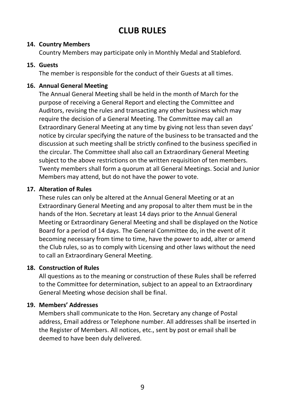#### **14. Country Members**

Country Members may participate only in Monthly Medal and Stableford.

### **15. Guests**

The member is responsible for the conduct of their Guests at all times.

### **16. Annual General Meeting**

The Annual General Meeting shall be held in the month of March for the purpose of receiving a General Report and electing the Committee and Auditors, revising the rules and transacting any other business which may require the decision of a General Meeting. The Committee may call an Extraordinary General Meeting at any time by giving not less than seven days' notice by circular specifying the nature of the business to be transacted and the discussion at such meeting shall be strictly confined to the business specified in the circular. The Committee shall also call an Extraordinary General Meeting subject to the above restrictions on the written requisition of ten members. Twenty members shall form a quorum at all General Meetings. Social and Junior Members may attend, but do not have the power to vote.

### **17. Alteration of Rules**

These rules can only be altered at the Annual General Meeting or at an Extraordinary General Meeting and any proposal to alter them must be in the hands of the Hon. Secretary at least 14 days prior to the Annual General Meeting or Extraordinary General Meeting and shall be displayed on the Notice Board for a period of 14 days. The General Committee do, in the event of it becoming necessary from time to time, have the power to add, alter or amend the Club rules, so as to comply with Licensing and other laws without the need to call an Extraordinary General Meeting.

### **18. Construction of Rules**

All questions as to the meaning or construction of these Rules shall be referred to the Committee for determination, subject to an appeal to an Extraordinary General Meeting whose decision shall be final.

### **19. Members' Addresses**

Members shall communicate to the Hon. Secretary any change of Postal address, Email address or Telephone number. All addresses shall be inserted in the Register of Members. All notices, etc., sent by post or email shall be deemed to have been duly delivered.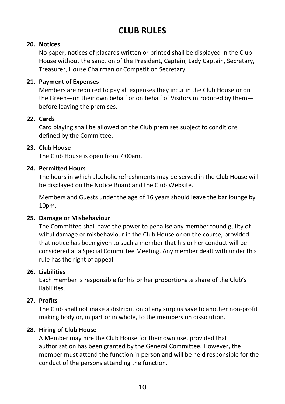#### **20. Notices**

No paper, notices of placards written or printed shall be displayed in the Club House without the sanction of the President, Captain, Lady Captain, Secretary, Treasurer, House Chairman or Competition Secretary.

### **21. Payment of Expenses**

Members are required to pay all expenses they incur in the Club House or on the Green—on their own behalf or on behalf of Visitors introduced by them before leaving the premises.

### **22. Cards**

Card playing shall be allowed on the Club premises subject to conditions defined by the Committee.

### **23. Club House**

The Club House is open from 7:00am.

### **24. Permitted Hours**

The hours in which alcoholic refreshments may be served in the Club House will be displayed on the Notice Board and the Club Website.

Members and Guests under the age of 16 years should leave the bar lounge by 10pm.

#### **25. Damage or Misbehaviour**

The Committee shall have the power to penalise any member found guilty of wilful damage or misbehaviour in the Club House or on the course, provided that notice has been given to such a member that his or her conduct will be considered at a Special Committee Meeting. Any member dealt with under this rule has the right of appeal.

### **26. Liabilities**

Each member is responsible for his or her proportionate share of the Club's liabilities.

### **27. Profits**

The Club shall not make a distribution of any surplus save to another non-profit making body or, in part or in whole, to the members on dissolution.

### **28. Hiring of Club House**

A Member may hire the Club House for their own use, provided that authorisation has been granted by the General Committee. However, the member must attend the function in person and will be held responsible for the conduct of the persons attending the function.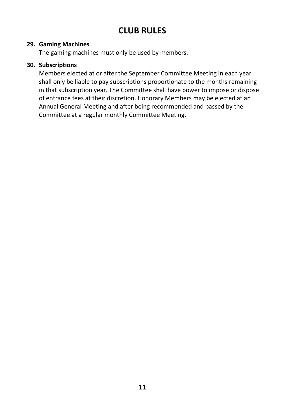#### **29. Gaming Machines**

The gaming machines must only be used by members.

#### **30. Subscriptions**

Members elected at or after the September Committee Meeting in each year shall only be liable to pay subscriptions proportionate to the months remaining in that subscription year. The Committee shall have power to impose or dispose of entrance fees at their discretion. Honorary Members may be elected at an Annual General Meeting and after being recommended and passed by the Committee at a regular monthly Committee Meeting.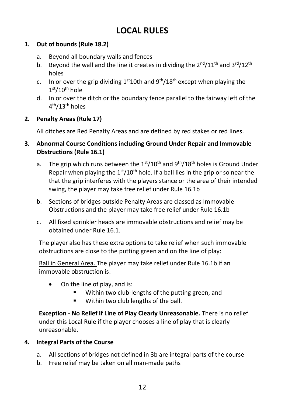### **LOCAL RULES**

### <span id="page-12-0"></span>**1. Out of bounds (Rule 18.2)**

- a. Beyond all boundary walls and fences
- b. Beyond the wall and the line it creates in dividing the  $2^{nd}/11^{th}$  and  $3^{rd}/12^{th}$ holes
- c. In or over the grip dividing  $1<sup>st</sup>10$ th and  $9<sup>th</sup>/18<sup>th</sup>$  except when playing the  $1<sup>st</sup>/10<sup>th</sup>$  hole
- d. In or over the ditch or the boundary fence parallel to the fairway left of the 4 th/13th holes

### **2. Penalty Areas (Rule 17)**

All ditches are Red Penalty Areas and are defined by red stakes or red lines.

### **3. Abnormal Course Conditions including Ground Under Repair and Immovable Obstructions (Rule 16.1)**

- a. The grip which runs between the  $1<sup>st</sup>/10<sup>th</sup>$  and  $9<sup>th</sup>/18<sup>th</sup>$  holes is Ground Under Repair when playing the  $1<sup>st</sup>/10<sup>th</sup>$  hole. If a ball lies in the grip or so near the that the grip interferes with the players stance or the area of their intended swing, the player may take free relief under Rule 16.1b
- b. Sections of bridges outside Penalty Areas are classed as Immovable Obstructions and the player may take free relief under Rule 16.1b
- c. All fixed sprinkler heads are immovable obstructions and relief may be obtained under Rule 16.1.

The player also has these extra options to take relief when such immovable obstructions are close to the putting green and on the line of play:

Ball in General Area. The player may take relief under Rule 16.1b if an immovable obstruction is:

- On the line of play, and is:
	- Within two club-lengths of the putting green, and
	- Within two club lengths of the ball.

**Exception - No Relief If Line of Play Clearly Unreasonable.** There is no relief under this Local Rule if the player chooses a line of play that is clearly unreasonable.

### **4. Integral Parts of the Course**

- a. All sections of bridges not defined in 3b are integral parts of the course
- b. Free relief may be taken on all man-made paths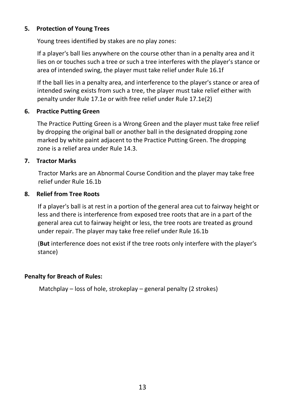### **5. Protection of Young Trees**

Young trees identified by stakes are no play zones:

If a player's ball lies anywhere on the course other than in a penalty area and it lies on or touches such a tree or such a tree interferes with the player's stance or area of intended swing, the player must take relief under Rule 16.1f

If the ball lies in a penalty area, and interference to the player's stance or area of intended swing exists from such a tree, the player must take relief either with penalty under Rule 17.1e or with free relief under Rule 17.1e(2)

### **6. Practice Putting Green**

The Practice Putting Green is a Wrong Green and the player must take free relief by dropping the original ball or another ball in the designated dropping zone marked by white paint adjacent to the Practice Putting Green. The dropping zone is a relief area under Rule 14.3.

### **7. Tractor Marks**

Tractor Marks are an Abnormal Course Condition and the player may take free relief under Rule 16.1b

### **8. Relief from Tree Roots**

If a player's ball is at rest in a portion of the general area cut to fairway height or less and there is interference from exposed tree roots that are in a part of the general area cut to fairway height or less, the tree roots are treated as ground under repair. The player may take free relief under Rule 16.1b

(**But** interference does not exist if the tree roots only interfere with the player's stance)

### **Penalty for Breach of Rules:**

Matchplay – loss of hole, strokeplay – general penalty (2 strokes)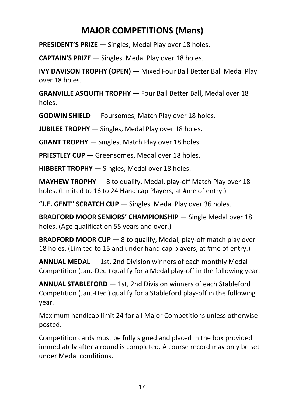### **MAJOR COMPETITIONS (Mens)**

<span id="page-14-0"></span>**PRESIDENT'S PRIZE** — Singles, Medal Play over 18 holes.

**CAPTAIN'S PRIZE** — Singles, Medal Play over 18 holes.

**IVY DAVISON TROPHY (OPEN)** — Mixed Four Ball Better Ball Medal Play over 18 holes.

**GRANVILLE ASQUITH TROPHY** — Four Ball Better Ball, Medal over 18 holes.

**GODWIN SHIELD** — Foursomes, Match Play over 18 holes.

**JUBILEE TROPHY** — Singles, Medal Play over 18 holes.

**GRANT TROPHY** — Singles, Match Play over 18 holes.

**PRIESTLEY CUP** — Greensomes, Medal over 18 holes.

**HIBBERT TROPHY** — Singles, Medal over 18 holes.

**MAYHEW TROPHY** — 8 to qualify, Medal, play-off Match Play over 18 holes. (Limited to 16 to 24 Handicap Players, at #me of entry.)

**"J.E. GENT" SCRATCH CUP** — Singles, Medal Play over 36 holes.

**BRADFORD MOOR SENIORS' CHAMPIONSHIP** — Single Medal over 18 holes. (Age qualification 55 years and over.)

**BRADFORD MOOR CUP** – 8 to qualify, Medal, play-off match play over 18 holes. (Limited to 15 and under handicap players, at #me of entry.)

**ANNUAL MEDAL** — 1st, 2nd Division winners of each monthly Medal Competition (Jan.-Dec.) qualify for a Medal play-off in the following year.

**ANNUAL STABLEFORD** — 1st, 2nd Division winners of each Stableford Competition (Jan.-Dec.) qualify for a Stableford play-off in the following year.

Maximum handicap limit 24 for all Major Competitions unless otherwise posted.

Competition cards must be fully signed and placed in the box provided immediately after a round is completed. A course record may only be set under Medal conditions.